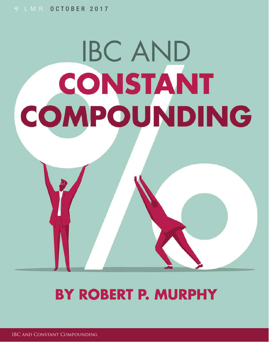# **IBC AND CONSTANT** COMPOUNDING

## **BY ROBERT P. MURPHY**

IBC and Constant Compounding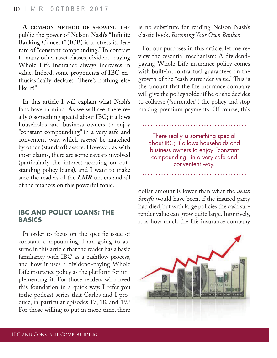**A COMMON METHOD OF SHOWING THE** public the power of Nelson Nash's "Infinite" Banking Concept" (ICB) is to stress its feature of "constant compounding." In contrast to many other asset classes, dividend-paying Whole Life insurance always increases in value. Indeed, some proponents of IBC enthusiastically declare: "There's nothing else like it!"

In this article I will explain what Nash's fans have in mind. As we will see, there really *is* something special about IBC; it allows households and business owners to enjoy "constant compounding" in a very safe and convenient way, which *cannot* be matched by other (standard) assets. However, as with most claims, there are some caveats involved (particularly the interest accruing on outstanding policy loans), and I want to make sure the readers of the *LMR* understand all of the nuances on this powerful topic.

#### **IBC AND POLICY LOANS: THE BASICS**

In order to focus on the specific issue of constant compounding, I am going to assume in this article that the reader has a basic familiarity with IBC as a cashflow process, and how it uses a dividend-paying Whole Life insurance policy as the platform for implementing it. For those readers who need this foundation in a quick way, I refer you tothe podcast series that Carlos and I produce, in particular episodes 17, 18, and 19.<sup>1</sup> For those willing to put in more time, there

is no substitute for reading Nelson Nash's classic book, *Becoming Your Own Banker.*

For our purposes in this article, let me review the essential mechanism: A dividendpaying Whole Life insurance policy comes with built-in, contractual guarantees on the growth of the "cash surrender value." This is the amount that the life insurance company will give the policyholder if he or she decides to collapse ("surrender") the policy and stop making premium payments. Of course, this

There really is something special about IBC; it allows households and business owners to enjoy "constant compounding" in a very safe and convenient way.

dollar amount is lower than what the *death benefit* would have been, if the insured party had died, but with large policies the cash surrender value can grow quite large. Intuitively, it is how much the life insurance company

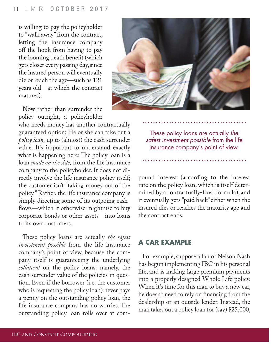is willing to pay the policyholder to "walk away" from the contract, letting the insurance company off the hook from having to pay the looming death benefit (which gets closer every passing day, since the insured person will eventually die or reach the age—such as 121 years old—at which the contract matures).

Now rather than surrender the policy outright, a policyholder

who needs money has another contractually guaranteed option: He or she can take out a *policy loan,* up to (almost) the cash surrender value. It's important to understand exactly what is happening here: The policy loan is a loan *made on the side,* from the life insurance company to the policyholder. It does not directly involve the life insurance policy itself; the customer isn't "taking money out of the policy." Rather, the life insurance company is simply directing some of its outgoing cash flows—which it otherwise might use to buy corporate bonds or other assets—into loans to its own customers.

These policy loans are actually *the safest investment possible* from the life insurance company's point of view, because the company itself is guaranteeing the underlying *collateral* on the policy loans: namely, the cash surrender value of the policies in question. Even if the borrower (i.e. the customer who is requesting the policy loan) never pays a penny on the outstanding policy loan, the life insurance company has no worries. The outstanding policy loan rolls over at com-



These policy loans are actually the safest investment possible from the life insurance company's point of view.

pound interest (according to the interest rate on the policy loan, which is itself determined by a contractually-fixed formula), and it eventually gets "paid back" either when the insured dies or reaches the maturity age and the contract ends.

#### **A CAR EXAMPLE**

For example, suppose a fan of Nelson Nash has begun implementing IBC in his personal life, and is making large premium payments into a properly designed Whole Life policy. When it's time for this man to buy a new car, he doesn't need to rely on financing from the dealership or an outside lender. Instead, the man takes out a policy loan for (say) \$25,000,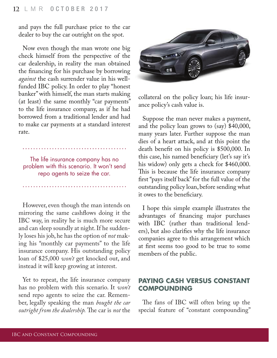and pays the full purchase price to the car dealer to buy the car outright on the spot.

Now even though the man wrote one big check himself from the perspective of the car dealership, in reality the man obtained the financing for his purchase by borrowing *against* the cash surrender value in his wellfunded IBC policy. In order to play "honest banker" with himself, the man starts making (at least) the same monthly "car payments" to the life insurance company, as if he had borrowed from a traditional lender and had to make car payments at a standard interest rate.

The life insurance company has no problem with this scenario. It won't send repo agents to seize the car.

However, even though the man intends on mirroring the same cashflows doing it the IBC way, in reality he is much more secure and can sleep soundly at night. If he suddenly loses his job, he has the option of *not* making his "monthly car payments" to the life insurance company. His outstanding policy loan of \$25,000 *won't* get knocked out, and instead it will keep growing at interest.

Yet to repeat, the life insurance company has no problem with this scenario. It *won't*  send repo agents to seize the car. Remember, legally speaking the man *bought the car outright from the dealership*. The car is *not* the



collateral on the policy loan; his life insurance policy's cash value is.

Suppose the man never makes a payment, and the policy loan grows to (say) \$40,000, many years later. Further suppose the man dies of a heart attack, and at this point the death benefit on his policy is \$500,000. In this case, his named beneficiary (let's say it's his widow) only gets a check for \$460,000. This is because the life insurance company first "pays itself back" for the full value of the outstanding policy loan, before sending what it owes to the beneficiary.

I hope this simple example illustrates the advantages of financing major purchases with IBC (rather than traditional lenders), but also clarifies why the life insurance companies agree to this arrangement which at first seems too good to be true to some members of the public.

#### **PAYING CASH VERSUS CONSTANT COMPOUNDING**

The fans of IBC will often bring up the special feature of "constant compounding"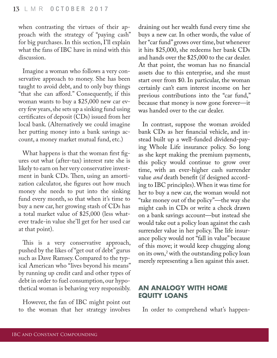when contrasting the virtues of their approach with the strategy of "paying cash" for big purchases. In this section, I'll explain what the fans of IBC have in mind with this discussion.

Imagine a woman who follows a very conservative approach to money. She has been taught to avoid debt, and to only buy things "that she can afford." Consequently, if this woman wants to buy a \$25,000 new car every few years, she sets up a sinking fund using certificates of deposit (CDs) issued from her local bank. (Alternatively we could imagine her putting money into a bank savings account, a money market mutual fund, etc.)

What happens is that the woman first figures out what (after-tax) interest rate she is likely to earn on her very conservative investment in bank CDs. Then, using an amortization calculator, she figures out how much money she needs to put into the sinking fund every month, so that when it's time to buy a new car, her growing stash of CDs has a total market value of \$25,000 (less whatever trade-in value she'll get for her used car at that point).

This is a very conservative approach, pushed by the likes of "get out of debt" gurus such as Dave Ramsey. Compared to the typical American who "lives beyond his means" by running up credit card and other types of debt in order to fuel consumption, our hypothetical woman is behaving very responsibly.

However, the fan of IBC might point out to the woman that her strategy involves draining out her wealth fund every time she buys a new car. In other words, the value of her "car fund" grows over time, but whenever it hits \$25,000, she redeems her bank CDs and hands over the \$25,000 to the car dealer. At that point, the woman has no financial assets due to this enterprise, and she must start over from \$0. In particular, the woman certainly can't earn interest income on her previous contributions into the "car fund," because that money is now gone forever—it was handed over to the car dealer.

In contrast, suppose the woman avoided bank CDs as her financial vehicle, and instead built up a well-funded dividend-paying Whole Life insurance policy. So long as she kept making the premium payments, this policy would continue to grow over time, with an ever-higher cash surrender value *and* death benefit (if designed according to IBC principles). When it was time for her to buy a new car, the woman would not "take money out of the policy"—the way she might cash in CDs or write a check drawn on a bank savings account—but instead she would take out a policy loan against the cash surrender value in her policy. The life insurance policy would not "fall in value" because of this move; it would keep chugging along on its own, $3$  with the outstanding policy loan merely representing a lien against this asset.

#### **AN ANALOGY WITH HOME EQUITY LOANS**

In order to comprehend what's happen-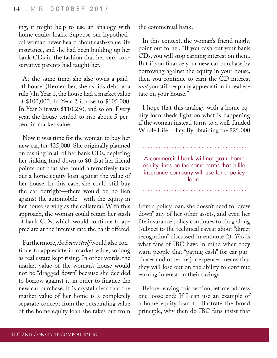ing, it might help to use an analogy with home equity loans. Suppose our hypothetical woman never heard about cash-value life insurance, and she had been building up her bank CDs in the fashion that her very conservative parents had taught her.

At the same time, she also owns a paidoff house. (Remember, she avoids debt as a rule.) In Year 1, the house had a market value of \$100,000. In Year 2 it rose to \$105,000. In Year 3 it was \$110,250, and so on. Every year, the house tended to rise about 5 percent in market value.

Now it was time for the woman to buy her new car, for \$25,000. She originally planned on cashing in all of her bank CDs, depleting her sinking fund down to \$0. But her friend points out that she could alternatively take out a home equity loan against the value of her house. In this case, she could still buy the car outright—there would be no lien against the automobile—with the equity in her house serving as the collateral. With this approach, the woman could retain her stash of bank CDs, which would continue to appreciate at the interest rate the bank offered.

Furthermore, *the house itself* would also continue to appreciate in market value, so long as real estate kept rising. In other words, the market value of the woman's house would not be "dragged down" because she decided to borrow against it, in order to finance the new car purchase. It is crystal clear that the market value of her home is a completely separate concept from the outstanding value of the home equity loan she takes out from

the commercial bank.

In this context, the woman's friend might point out to her, "If you cash out your bank CDs, you will stop earning interest on them. But if you finance your new car purchase by borrowing against the equity in your house, then you continue to earn the CD interest *and* you still reap any appreciation in real estate on your house."

I hope that this analogy with a home equity loan sheds light on what is happening if the woman instead turns to a well-funded Whole Life policy. By obtaining the \$25,000

A commercial bank will not grant home equity lines on the same terms that a life insurance company will use for a policy loan.

from a policy loan, she doesn't need to "draw down" any of her other assets, and even her life insurance policy continues to chug along (subject to the technical caveat about "direct recognition" discussed in endnote 2). This is what fans of IBC have in mind when they warn people that "paying cash" for car purchases and other major expenses means that they will lose out on the ability to continue earning interest on their savings.

Before leaving this section, let me address one loose end: If I can use an example of a home equity loan to illustrate the broad principle, why then do IBC fans insist that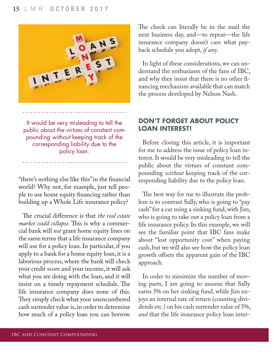

It would be very misleading to tell the public about the virtues of constant compounding without keeping track of the corresponding liability due to the policy loan.

"there's nothing else like this" in the financial world? Why not, for example, just tell people to use home equity financing rather than building up a Whole Life insurance policy?

The crucial difference is that *the real estate market could collapse*. This is why a commercial bank will *not* grant home equity lines on the same terms that a life insurance company will use for a policy loan. In particular, if you apply to a bank for a home equity loan, it is a laborious process, where the bank will check your credit score and your income, it will ask what you are doing with the loan, and it will insist on a timely repayment schedule. The life insurance company does none of this. They simply check what your unencumbered cash surrender value is, in order to determine how much of a policy loan you can borrow. The check can literally be in the mail the next business day, and—to repeat—the life insurance company doesn't care what payback schedule you adopt, *if any.*

In light of these considerations, we can understand the enthusiasm of the fans of IBC, and why they insist that there is no other financing mechanism available that can match the process developed by Nelson Nash.

#### **DON'T FORGET ABOUT POLICY LOAN INTEREST!**

Before closing this article, it is important for me to address the issue of policy loan interest. It would be very misleading to tell the public about the virtues of constant compounding *without* keeping track of the corresponding liability due to the policy loan.

The best way for me to illustrate the problem is to contrast Sally, who is going to "pay cash" for a car using a sinking fund, with Jim, who is going to take out a policy loan from a life insurance policy. In this example, we will see the familiar point that IBC fans make about "lost opportunity cost" when paying cash, but we will also see how the policy loan growth offsets the apparent gain of the IBC approach.

In order to minimize the number of moving parts, I am going to assume that Sally earns 5% on her sinking fund, while Jim enjoys an internal rate of return (counting dividends etc.) on his cash surrender value of 5%, *and* that the life insurance policy loan inter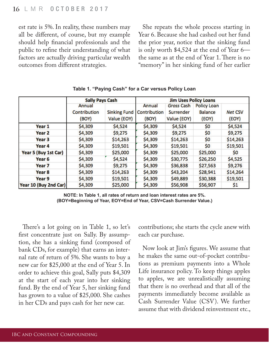est rate is 5%. In reality, these numbers may all be different, of course, but my example should help financial professionals and the public to refine their understanding of what factors are actually driving particular wealth outcomes from different strategies.

She repeats the whole process starting in Year 6. Because she had cashed out her fund the prior year, notice that the sinking fund is only worth \$4,524 at the end of Year 6 the same as at the end of Year 1. There is no "memory" in her sinking fund of her earlier

|                       | <b>Sally Pays Cash</b> |                     | <b>Jim Uses Policy Loans</b> |                   |                    |                |
|-----------------------|------------------------|---------------------|------------------------------|-------------------|--------------------|----------------|
|                       | Annual                 |                     | Annual                       | <b>Gross Cash</b> | <b>Policy Loan</b> |                |
|                       | Contribution           | <b>Sinking Fund</b> | Contribution                 | Surrender         | <b>Balance</b>     | <b>Net CSV</b> |
|                       | (BOY)                  | Value (EOY)         | (BOY)                        | Value (EOY)       | (EOY)              | (EOY)          |
| Year 1                | \$4,309                | \$4,524             | \$4,309                      | \$4,524           | \$0                | \$4,524        |
| Year 2                | \$4,309                | \$9,275             | \$4,309                      | \$9,275           | \$0                | \$9,275        |
| Year 3                | \$4,309                | \$14,263            | \$4,309                      | \$14,263          | \$0                | \$14,263       |
| Year 4                | \$4,309                | \$19,501            | \$4,309                      | \$19,501          | \$0                | \$19,501       |
| Year 5 (Buy 1st Car)  | \$4,309                | \$25,000            | \$4,309                      | \$25,000          | \$25,000           | \$0            |
| Year 6                | \$4,309                | \$4,524             | \$4,309                      | \$30,775          | \$26,250           | \$4,525        |
| Year 7                | \$4,309                | \$9,275             | \$4,309                      | \$36,838          | \$27,563           | \$9,276        |
| Year 8                | \$4,309                | \$14,263            | \$4,309                      | \$43,204          | \$28,941           | \$14,264       |
| Year 9                | \$4,309                | \$19,501            | \$4,309                      | \$49,889          | \$30,388           | \$19,501       |
| Year 10 (Buy 2nd Car) | \$4,309                | \$25,000            | \$4,309                      | \$56,908          | \$56,907           | \$1            |

**Table 1. "Paying Cash" for a Car versus Policy Loan**

**NOTE: In Table 1, all rates of return and loan interest rates are 5%. (BOY=Beginning of Year, EOY=End of Year, CSV=Cash Surrender Value.)**

There's a lot going on in Table 1, so let's first concentrate just on Sally. By assumption, she has a sinking fund (composed of bank CDs, for example) that earns an internal rate of return of 5%. She wants to buy a new car for \$25,000 at the end of Year 5. In order to achieve this goal, Sally puts \$4,309 at the start of each year into her sinking fund. By the end of Year 5, her sinking fund has grown to a value of \$25,000. She cashes in her CDs and pays cash for her new car.

contributions; she starts the cycle anew with each car purchase.

Now look at Jim's figures. We assume that he makes the same out-of-pocket contributions as premium payments into a Whole Life insurance policy. To keep things apples to apples, we are unrealistically assuming that there is no overhead and that all of the payments immediately become available as Cash Surrender Value (CSV). We further assume that with dividend reinvestment etc.,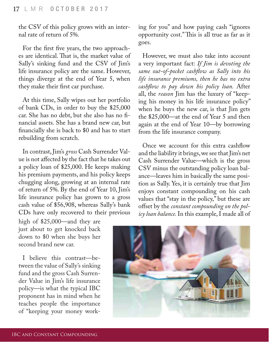the CSV of this policy grows with an internal rate of return of 5%.

For the first five years, the two approaches are identical. That is, the market value of Sally's sinking fund and the CSV of Jim's life insurance policy are the same. However, things diverge at the end of Year 5, when they make their first car purchase.

At this time, Sally wipes out her portfolio of bank CDs, in order to buy the \$25,000 car. She has no debt, but she also has no financial assets. She has a brand new car, but financially she is back to \$0 and has to start rebuilding from scratch.

In contrast, Jim's *gross* Cash Surrender Value is not affected by the fact that he takes out a policy loan of \$25,000. He keeps making his premium payments, and his policy keeps chugging along, growing at an internal rate of return of 5%. By the end of Year 10, Jim's life insurance policy has grown to a gross cash value of \$56,908, whereas Sally's bank CDs have only recovered to their previous

high of \$25,000—and they are just about to get knocked back down to \$0 when she buys her second brand new car.

I believe this contrast—between the value of Sally's sinking fund and the gross Cash Surrender Value in Jim's life insurance policy—is what the typical IBC proponent has in mind when he teaches people the importance of "keeping your money working for you" and how paying cash "ignores opportunity cost." This is all true as far as it goes.

However, we must also take into account a very important fact: *If Jim is devoting the*  same out-of-pocket cashflow as Sally into his *life insurance premiums, then he has no extra*  cashflow to pay down his policy loan. After all, the *reason* Jim has the luxury of "keeping his money in his life insurance policy" when he buys the new car, is that Jim gets the \$25,000—at the end of Year 5 and then again at the end of Year 10—by borrowing from the life insurance company.

Once we account for this extra cashflow and the liability it brings, we see that Jim's net Cash Surrender Value—which is the gross CSV minus the outstanding policy loan balance—leaves him in basically the same position as Sally. Yes, it is certainly true that Jim enjoys constant compounding on his cash values that "stay in the policy," but these are offset by the *constant compounding on the policy loan balance.* In this example, I made all of

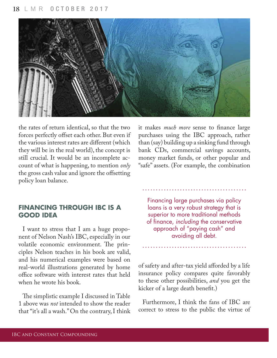

the rates of return identical, so that the two forces perfectly offset each other. But even if the various interest rates are different (which they will be in the real world), the concept is still crucial. It would be an incomplete account of what is happening, to mention *only*  the gross cash value and ignore the offsetting policy loan balance.

#### **FINANCING THROUGH IBC IS A GOOD IDEA**

I want to stress that I am a huge proponent of Nelson Nash's IBC, especially in our volatile economic environment. The principles Nelson teaches in his book are valid, and his numerical examples were based on real-world illustrations generated by home office software with interest rates that held when he wrote his book.

The simplistic example I discussed in Table 1 above was *not* intended to show the reader that "it's all a wash." On the contrary, I think it makes *much more* sense to finance large purchases using the IBC approach, rather than (say) building up a sinking fund through bank CDs, commercial savings accounts, money market funds, or other popular and "safe" assets. (For example, the combination

Financing large purchases via policy loans is a very robust strategy that is superior to more traditional methods of finance, including the conservative approach of "paying cash" and avoiding all debt.

of safety and after-tax yield afforded by a life insurance policy compares quite favorably to these other possibilities, *and* you get the kicker of a large death benefit.)

Furthermore, I think the fans of IBC are correct to stress to the public the virtue of